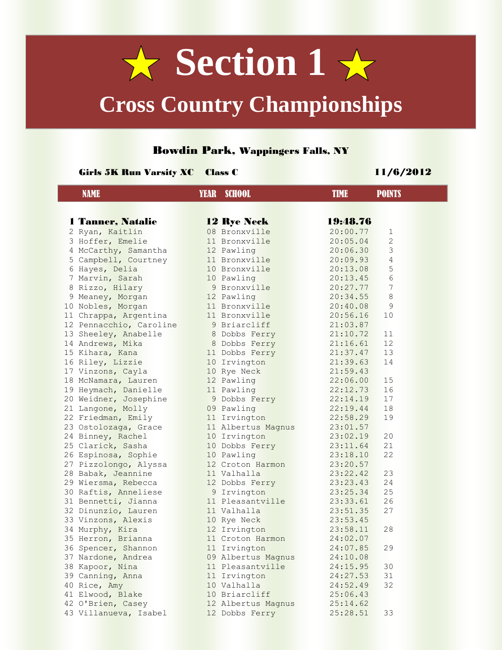# $\sqrt{x}$  Section 1 $\sqrt{x}$ **Cross Country Championships**

### Bowdin Park, Wappingers Falls, NY

#### Girls 5K Run Varsity XC Class C 11/6/2012

| <b>NAME</b><br><b>YEAR</b> SCHOOL<br><b>TIME</b>       | <b>POINTS</b> |
|--------------------------------------------------------|---------------|
|                                                        |               |
| 1 Tanner, Natalie<br>19:48.76<br><b>12 Rye Neck</b>    |               |
| 08 Bronxville<br>2 Ryan, Kaitlin<br>20:00.77           | 1             |
| 3 Hoffer, Emelie<br>11 Bronxville<br>20:05.04          | $\mathbf{2}$  |
| 4 McCarthy, Samantha<br>12 Pawling<br>20:06.30         | 3             |
| 11 Bronxville<br>5 Campbell, Courtney<br>20:09.93      | 4             |
| 6 Hayes, Delia<br>10 Bronxville<br>20:13.08            | 5             |
| 7 Marvin, Sarah<br>10 Pawling<br>20:13.45              | 6             |
| 8 Rizzo, Hilary<br>9 Bronxville<br>20:27.77            | 7             |
| 9 Meaney, Morgan<br>12 Pawling<br>20:34.55             | 8             |
| 10 Nobles, Morgan<br>11 Bronxville<br>20:40.08         | 9             |
| 11 Chrappa, Argentina<br>11 Bronxville<br>20:56.16     | 10            |
| 12 Pennacchio, Caroline<br>9 Briarcliff<br>21:03.87    |               |
| 13 Sheeley, Anabelle<br>8 Dobbs Ferry<br>21:10.72      | 11            |
| 14 Andrews, Mika<br>8 Dobbs Ferry<br>21:16.61          | 12            |
| 15 Kihara, Kana<br>11 Dobbs Ferry<br>21:37.47          | 13            |
| 16 Riley, Lizzie<br>10 Irvington<br>21:39.63           | 14            |
| 17 Vinzons, Cayla<br>10 Rye Neck<br>21:59.43           |               |
| 12 Pawling<br>18 McNamara, Lauren<br>22:06.00          | 15            |
| 19 Heymach, Danielle<br>22:12.73<br>11 Pawling         | 16            |
| 20 Weidner, Josephine<br>9 Dobbs Ferry<br>22:14.19     | 17            |
| 21 Langone, Molly<br>22:19.44<br>09 Pawling            | 18            |
| 22 Friedman, Emily<br>11 Irvington<br>22:58.29         | 19            |
| 23 Ostolozaga, Grace<br>11 Albertus Magnus<br>23:01.57 |               |
| 24 Binney, Rachel<br>10 Irvington<br>23:02.19          | 20            |
| 25 Clarick, Sasha<br>10 Dobbs Ferry<br>23:11.64        | 21            |
| 26 Espinosa, Sophie<br>10 Pawling<br>23:18.10          | 22            |
| 12 Croton Harmon<br>23:20.57<br>27 Pizzolongo, Alyssa  |               |
| 28 Babak, Jeannine<br>23:22.42<br>11 Valhalla          | 23            |
| 29 Wiersma, Rebecca<br>12 Dobbs Ferry<br>23:23.43      | 24            |
| 30 Raftis, Anneliese<br>9 Irvington<br>23:25.34        | 25            |
| 11 Pleasantville<br>31 Bennetti, Jianna<br>23:33.61    | 26            |
| 32 Dinunzio, Lauren<br>11 Valhalla<br>23:51.35         | 27            |
| 33 Vinzons, Alexis<br>10 Rye Neck<br>23:53.45          |               |
| 34 Murphy, Kira<br>12 Irvington<br>23:58.11            | 28            |
| 35 Herron, Brianna<br>11 Croton Harmon<br>24:02.07     |               |
| 36 Spencer, Shannon<br>11 Irvington<br>24:07.85        | 29            |
| 24:10.08<br>37 Nardone, Andrea<br>09 Albertus Magnus   |               |
| 38 Kapoor, Nina<br>11 Pleasantville<br>24:15.95        | 30            |
| 11 Irvington<br>39 Canning, Anna<br>24:27.53           | 31            |
| 10 Valhalla<br>40 Rice, Amy<br>24:52.49                | 32            |
| 10 Briarcliff<br>25:06.43<br>41 Elwood, Blake          |               |
| 42 O'Brien, Casey<br>25:14.62<br>12 Albertus Magnus    |               |
| 43 Villanueva, Isabel<br>12 Dobbs Ferry<br>25:28.51    | 33            |